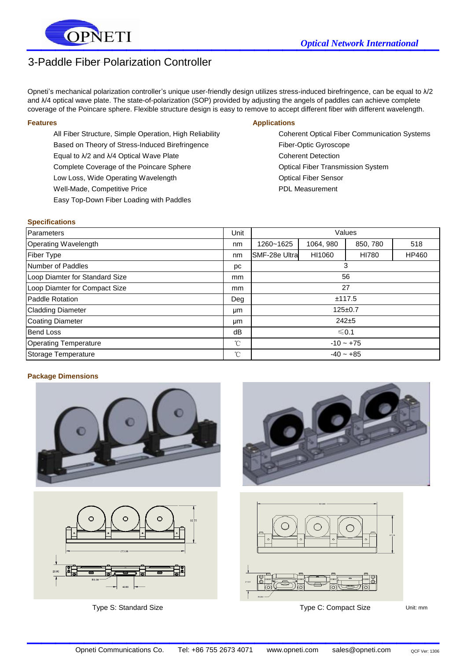

# 3-Paddle Fiber Polarization Controller

Opneti's mechanical polarization controller's unique user-friendly design utilizes stress-induced birefringence, can be equal to λ/2 and λ/4 optical wave plate. The state-of-polarization (SOP) provided by adjusting the angels of paddles can achieve complete coverage of the Poincare sphere. Flexible structure design is easy to remove to accept different fiber with different wavelength.

All Fiber Structure, Simple Operation, High Reliability Coherent Optical Fiber Communication Systems Based on Theory of Stress-Induced Birefringence Fiber-Optic Gyroscope Equal to λ/2 and λ/4 Optical Wave Plate Coherent Detection Coherent Detection Complete Coverage of the Poincare Sphere **Optical Fiber Transmission System** Optical Fiber Transmission System Low Loss, Wide Operating Wavelength **Communist Containers** Optical Fiber Sensor Well-Made, Competitive Price **PDL Measurement** Easy Top-Down Fiber Loading with Paddles

#### **Features Applications** Applications

#### **Specifications**

| Parameters                     | Unit          | Values        |           |          |       |
|--------------------------------|---------------|---------------|-----------|----------|-------|
| Operating Wavelength           |               | 1260~1625     | 1064, 980 | 850, 780 | 518   |
| Fiber Type                     | nm            | SMF-28e Ultra | HI1060    | HI780    | HP460 |
| Number of Paddles              | рc            | 3             |           |          |       |
| Loop Diamter for Standard Size | <sub>mm</sub> | 56            |           |          |       |
| Loop Diamter for Compact Size  | <sub>mm</sub> | 27            |           |          |       |
| Paddle Rotation                | Deg           | ±117.5        |           |          |       |
| <b>Cladding Diameter</b>       | μm            | $125 \pm 0.7$ |           |          |       |
| Coating Diameter               | μm            | $242 + 5$     |           |          |       |
| <b>Bend Loss</b>               | dB            | $\leq 0.1$    |           |          |       |
| <b>Operating Temperature</b>   | °C            | $-10 - +75$   |           |          |       |
| Storage Temperature            | °C            | $-40 - +85$   |           |          |       |

### **Package Dimensions**



 $\mathcal{L}_\text{max}$  , which is a set of the set of the set of the set of the set of the set of the set of the set of the set of the set of the set of the set of the set of the set of the set of the set of the set of the set of